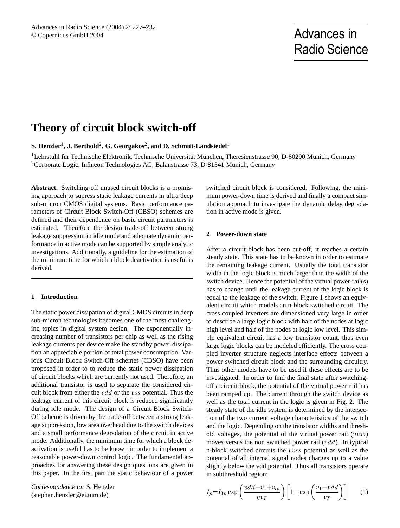# Radio Science

# **Theory of circuit block switch-off**

 ${\bf S. \textbf{} Henzler}^1, {\bf J. \textbf{ Berthold}^2, G. \textbf{Georgakos}^2, \textbf{and D. Schmitt-Landsiedel}^1}$ 

<sup>1</sup>Lehrstuhl für Technische Elektronik, Technische Universität München, Theresienstrasse 90, D-80290 Munich, Germany <sup>2</sup>Corporate Logic, Infineon Technologies AG, Balanstrasse 73, D-81541 Munich, Germany

**Abstract.** Switching-off unused circuit blocks is a promising approach to supress static leakage currents in ultra deep sub-micron CMOS digital systems. Basic performance parameters of Circuit Block Switch-Off (CBSO) schemes are defined and their dependence on basic circuit parameters is estimated. Therefore the design trade-off between strong leakage suppression in idle mode and adequate dynamic performance in active mode can be supported by simple analytic investigations. Additionally, a guideline for the estimation of the minimum time for which a block deactivation is useful is derived.

## **1 Introduction**

The static power dissipation of digital CMOS circuits in deep sub-micron technologies becomes one of the most challenging topics in digital system design. The exponentially increasing number of transistors per chip as well as the rising leakage currents per device make the standby power dissipation an appreciable portion of total power consumption. Various Circuit Block Switch-Off schemes (CBSO) have been proposed in order to to reduce the static power dissipation of circuit blocks which are currently not used. Therefore, an additional transistor is used to separate the considered circuit block from either the vdd or the vss potential. Thus the leakage current of this circuit block is reduced significantly during idle mode. The design of a Circuit Block Switch-Off scheme is driven by the trade-off between a strong leakage suppression, low area overhead due to the switch devices and a small performance degradation of the circuit in active mode. Additionally, the minimum time for which a block deactivation is useful has to be known in order to implement a reasonable power-down control logic. The fundamental approaches for answering these design questions are given in this paper. In the first part the static behaviour of a power

*Correspondence to:* S. Henzler (stephan.henzler@ei.tum.de)

switched circuit block is considered. Following, the minimum power-down time is derived and finally a compact simulation approach to investigate the dynamic delay degradation in active mode is given.

## **2 Power-down state**

After a circuit block has been cut-off, it reaches a certain steady state. This state has to be known in order to estimate the remaining leakage current. Usually the total transistor width in the logic block is much larger than the width of the switch device. Hence the potential of the virtual power-rail(s) has to change until the leakage current of the logic block is equal to the leakage of the switch. Figure 1 shows an equivalent circuit which models an n-block switched circuit. The cross coupled inverters are dimensioned very large in order to describe a large logic block with half of the nodes at logic high level and half of the nodes at logic low level. This simple equivalent circuit has a low transistor count, thus even large logic blocks can be modeled efficiently. The cross coupled inverter structure neglects interface effects between a power switched circuit block and the surrounding circuitry. Thus other models have to be used if these effects are to be investigated. In order to find the final state after switchingoff a circuit block, the potential of the virtual power rail has been ramped up. The current through the switch device as well as the total current in the logic is given in Fig. 2. The steady state of the idle system is determined by the intersection of the two current voltage characteristics of the switch and the logic. Depending on the transistor widths and threshold voltages, the potential of the virtual power rail  $(vvss)$ moves versus the non switched power rail  $(vdd)$ . In typical n-block switched circuits the vvss potential as well as the potential of all internal signal nodes charges up to a value slightly below the vdd potential. Thus all transistors operate in subthreshold region:

$$
I_p = I_{0p} \exp\left(\frac{vdd - v_1 + v_{tp}}{\eta v_T}\right) \left[1 - \exp\left(\frac{v_1 - vdd}{v_T}\right)\right] \tag{1}
$$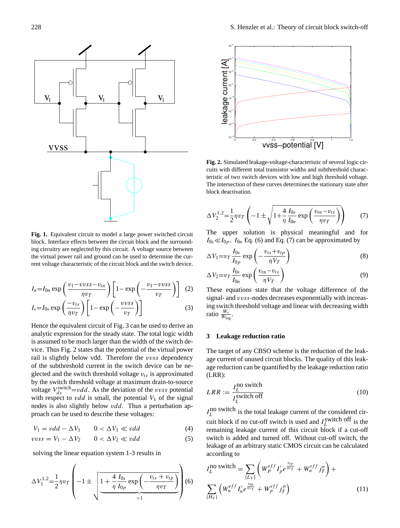

**Fig. 1.** Equivalent circuit to model a large power switched circuit The upper solution is block. Interface effects between the circuit block and the surround-  $I_{0s} \ll I_{0p}$ ,  $I_{0n}$  Eq. (6) and ing circuitry are neglected by this circuit. A voltage source between the virtual power rail and ground can be used to determine the current voltage characteristic of the circuit block and the switch device.

$$
I_n = I_{0n} \exp\left(\frac{v_1 - v v s s - v_{tn}}{\eta v_T}\right) \left[1 - \exp\left(-\frac{v_1 - v v s s}{v_T}\right)\right]
$$
 (2)

$$
I_s = I_{0s} \exp\left(\frac{-v_{ts}}{\eta v_T}\right) \left[1 - \exp\left(-\frac{v v s}{v_T}\right)\right]
$$
 (3)

proach can be used to describe these voltages: voltage  $V_{ds}^{\text{switch}} = vdd$ . As the deviation of the vvss potential glected and the switch threshold voltage  $v_{ts}$  is approximated rail is slightly below vdd. Therefore the vvss dependency analytic expression for the steady state. The total logic width Hence the equivalent circuit of Fig. 3 can be used to derive an is assumed to be much larger than the width of the switch device. Thus Fig. 2 states that the potential of the virtual power of the subthreshold current in the switch device can be neby the switch threshold voltage at maximum drain-to-source with respect to *vdd* is small, the potential  $V_1$  of the signal nodes is also slightly below *vdd*. Thus a perturbation ap-

$$
V_1 = vdd - \Delta V_1 \qquad 0 < \Delta V_1 \ll vdd \tag{4}
$$

$$
vvss = V_1 - \Delta V_2 \qquad 0 < \Delta V_2 \ll vdd \tag{5}
$$

solving the linear equation system 1-3 results in

$$
\Delta V_1^{1,2} = \frac{1}{2} \eta v_T \left( -1 \pm \sqrt{\frac{1 + \frac{4}{\eta} \frac{I_{0s}}{I_{0p}} \exp\left(-\frac{v_{ts} + v_{tp}}{\eta v_T}\right)}{1 + \frac{4}{\eta} \frac{I_{0s}}{I_{0p}}}\right) (6) \sum_{\{H_V\}} \left( W_n^{eff} I_n' e^{\frac{v_{tr}}{\eta v}} \right)
$$



Fig. 2. Simulated leakage-voltage-characteristic of several logic circuits with different total transistor widths and subthreshold characteristic of two switch devices with low and high threshold voltage. The intersection of these curves determines the stationary state after block deactivation.

$$
\Delta V_2^{1,2} = \frac{1}{2} \eta v_T \left( -1 \pm \sqrt{1 + \frac{4}{\eta} \frac{I_{0s}}{I_{0n}} \exp\left(\frac{v_{tn} - v_{ts}}{\eta v_T}\right)} \right) \tag{7}
$$

The upper solution is physical meaningful and for  $I_{0s} \ll I_{0p}$ ,  $I_{0n}$  Eq. (6) and Eq. (7) can be approximated by

$$
\Delta V_1 = v_T \frac{I_{0s}}{I_{0p}} \exp\left(-\frac{v_{ts} + v_{tp}}{\eta V_T}\right) \tag{8}
$$

$$
\Delta V_2 = v_T \frac{I_{0s}}{I_{0n}} \exp\left(\frac{v_{tn} - v_{ts}}{\eta V_T}\right) \tag{9}
$$

These equations state that the voltage difference of the signal- and vvss-nodes decreases exponentially with increasing switch threshold voltage and linear with decreasing width ratio  $\frac{W_s}{W_{\text{log}}}.$ 

#### **3 Leakage reduction ratio**

The target of any CBSO scheme is the reduction of the leakage current of unused circuit blocks. The quality of this leakage reduction can be quantified by the leakage reduction ratio (LRR):

$$
LRR := \frac{I_L^{\text{no switch}}}{I_L^{\text{switch off}}}
$$
 (10)

**Figure 2.** Simulated leakage-voltage-characteristic of several logic circuits with different total transistor widths and subthreshold characteristic of two  $I_L^{\text{no switch}}$  is the total leakage current of the considered circuit block if no cut-off switch is used and  $I_L^{\text{switch off}}$  is the remaining leakage current of this circuit block if a cut-off switch is added and turned off. Without cut-off switch, the leakage of an arbitrary static CMOS circuit can be calculated according to

$$
I_L^{\text{no switch}} = \sum_{\{L_V\}} \left( W_P^{eff} I'_p e^{\frac{v_{tp}}{\eta v_T}} + W_n^{eff} j_T^n \right) +
$$

$$
\sum_{\{H_V\}} \left( W_n^{eff} I'_n e^{\frac{v_{tn}}{\eta v_T}} + W_p^{eff} j_T^n \right) \tag{11}
$$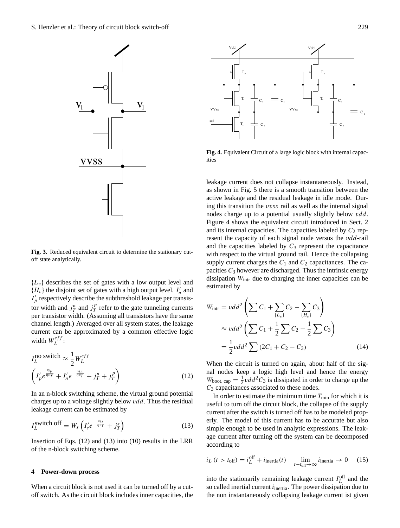

**Figure 3.** Reduced equivalent circuit to determine the stationary cut-off state analytically. **Fig. 3.** Reduced equivalent circuit to determine the stationary cutoff state analytically.

 $I'_p$  respectively describe the subthreshold leakage per transis-<br>to width and ill and ill approximation by a proximation by an exponential function by an exponential function by an exponential function by an exponential  ${L_v}$  describes the set of gates with a low output level and  ${H_v}$  the disjoint set of gates with a high output level.  $I'_n$  and tor width and  $j_T^n$  and  $j_T^p$  $T$  refer to the gate tunneling currents per transistor width. (Assuming all transistors have the same channel length.) Averaged over all system states, the leakage current can be approximated by a common effective logic width  $W_L^{eff}$  $L^{e_{JJ}}$ :

$$
I_L^{\text{no switch}} \approx \frac{1}{2} W_L^{eff}
$$

$$
\left(I'_p e^{\frac{v_{tp}}{\eta v_T}} + I'_n e^{-\frac{v_{tn}}{\eta v_T}} + j_T^n + j_T^p\right)
$$
(12)

In an n-block switching scheme, the virtual ground potential charges up to a voltage slightly below  $vdd$ . Thus the residual leakage current can be estimated by

$$
I_L^{\text{switch off}} = W_s \left( I_s' e^{-\frac{v_{ts}}{\eta v_T}} + j_T^s \right) \tag{13}
$$

Insertion of Eqs.  $(12)$  and  $(13)$  into  $(10)$  results in the LRR of the n-block switching scheme.

#### **4 Power-down process**

When a circuit block is not used it can be turned off by a cutoff switch. As the circuit block includes inner capacities, the



Fig. 4. Equivalent Circuit of a large logic block with internal capacities

dissipation  $W<sub>intr</sub>$  due to charging the inner capacities can be supply current charges the  $C_1$  and  $C_2$  capacitances. The caand the capacities labeled by  $C_3$  represent the capacitance and its internal capacities. The capacities labeled by  $C_2$  repnodes charge up to a potential usually slightly below vdd. active leakage and the residual leakage in idle mode. Durleakage current does not collapse instantaneously. Instead, ing the shirt<br>independent is seen that it is the<br>independent of the shirt of the shift of the shift of the shift of the shift of the shift of the shift of the<br>interface of the shift of the shift of the shift of the shift o as shown in Fig. 5 there is a smooth transition between the ing this transition the vvss rail as well as the internal signal Figure 4 shows the equivalent circuit introduced in Sect. 2 resent the capacity of each signal node versus the vdd-rail with respect to the virtual ground rail. Hence the collapsing pacities  $C_3$  however are discharged. Thus the intrinsic energy estimated by

$$
W_{\text{intr}} = vdd^{2} \left( \sum C_{1} + \sum_{\{L_{v}\}} C_{2} - \sum_{\{H_{v}\}} C_{3} \right)
$$
  
\n
$$
\approx vdd^{2} \left( \sum C_{1} + \frac{1}{2} \sum C_{2} - \frac{1}{2} \sum C_{3} \right)
$$
  
\n
$$
= \frac{1}{2} vdd^{2} \sum (2C_{1} + C_{2} - C_{3})
$$
 (14)

When the circuit is turned on again, about half of the signal nodes keep a logic high level and hence the energy  $W_{\text{boot, cap}} = \frac{1}{2} v d d^2 C_3$  is dissipated in order to charge up the  $C_3$  capacitances associated to these nodes.

erly. The model of this current has to be accurate but also<br>simple enough to be used in analytic expressions. The leak-In order to estimate the minimum time  $T_{\text{min}}$  for which it is useful to turn off the circuit block, the collapse of the supply current after the switch is turned off has to be modeled properly. The model of this current has to be accurate but also age current after turning off the system can be decomposed according to

$$
i_L \ (t > t_{\text{off}}) = i_L^{\text{off}} + i_{\text{inertia}}(t) \quad \lim_{t - t_{\text{off}} \to \infty} i_{\text{inertia}} \to 0 \quad (15)
$$

into the stationarily remaining leakage current  $I_L^{\text{off}}$  and the so called inertial current  $i<sub>inertia</sub>$ . The power dissipation due to the non instantaneously collapsing leakage current ist given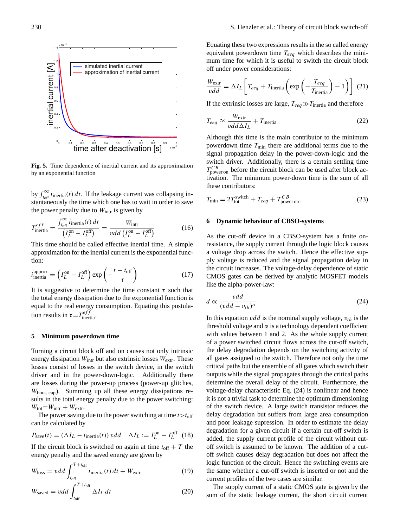

Fig. 5. Time dependence of inertial current and its approximation by an exponential function

by  $\int_{t_{off}}^{\infty} i_{\text{inertia}}(t) dt$ . If the leakage current was collapsing instantaneously the time which one has to wait in order to save the power penalty due to  $W<sub>intr</sub>$  is given by

$$
T_{\text{inertia}}^{eff} = \frac{\int_{t_{\text{off}}}^{\infty} i_{\text{inertia}}(t) dt}{\left(I_L^{\text{on}} - I_L^{\text{off}}\right)} = \frac{W_{\text{intr}}}{\nu dd \left(I_L^{\text{on}} - I_L^{\text{off}}\right)}\tag{16}
$$

This time should be called effective inertial time. A simple approximation for the inertial current is the exponential function:

$$
i_{\text{inertia}}^{\text{approx}} = \left(I_L^{\text{on}} - I_L^{\text{off}}\right) \exp\left(-\frac{t - t_{\text{off}}}{\tau}\right) \tag{17}
$$

It is suggestive to determine the time constant  $\tau$  such that the total energy dissipation due to the exponential function is equal to the real energy consumption. Equating this postulation results in  $\tau = T_{\text{inertia}}^{eff}$ .

#### **5 Minimum powerdown time**

Turning a circuit block off and on causes not only intrinsic energy dissipation  $W_{\text{intr}}$  but also extrinsic losses  $W_{\text{extr}}$ . These losses consist of losses in the switch device, in the switch driver and in the power-down-logic. Additionally there are losses during the power-up process (power-up glitches,  $W_{boot, cap}$ ). Summing up all these energy dissipations results in the total energy penalty due to the power switching:  $W_{\text{tot}} = W_{\text{intr}} + W_{\text{extr}}$ .

The power saving due to the power switching at time  $t > t_{off}$ can be calculated by

$$
P_{\text{save}}(t) = (\Delta I_L - i_{\text{inertia}}(t)) \, vdd \quad \Delta I_L := I_L^{\text{on}} - I_L^{\text{off}} \tag{18}
$$

If the circuit block is switched on again at time  $t_{off} + T$  the energy penalty and the saved energy are given by

$$
W_{\text{loss}} = vdd \int_{t_{\text{off}}}^{T+t_{\text{off}}} i_{\text{inertia}}(t) dt + W_{\text{extr}} \tag{19}
$$

$$
W_{\text{saved}} = vdd \int_{t_{\text{off}}}^{T+t_{\text{off}}} \Delta I_L dt \tag{20}
$$

Equating these two expressions results in the so called energy equivalent powerdown time  $T_{eeq}$  which describes the minimum time for which it is useful to switch the circuit block off under power considerations:

$$
\frac{W_{\text{extr}}}{vdd} = \Delta I_L \left[ T_{eeq} + T_{\text{inertia}} \left( \exp \left( - \frac{T_{eeq}}{T_{\text{inertia}}} \right) - 1 \right) \right] (21)
$$

If the extrinsic losses are large,  $T_{eeq} \gg T_{inertia}$  and therefore

$$
T_{eeq} \approx \frac{W_{\text{extr}}}{vdd\Delta I_L} + T_{\text{inertia}} \tag{22}
$$

Although this time is the main contributor to the minimum powerdown time  $T_{\text{min}}$  there are additional terms due to the signal propagation delay in the power-down-logic and the switch driver. Additionally, there is a certain settling time  $T_{\text{power on}}^{CB}$  before the circuit block can be used after block activation. The minimum power-down time is the sum of all these contributors:

$$
T_{\min} = 2T_{\text{tot}}^{\text{switch}} + T_{\text{eeq}} + T_{\text{poweron}}^{\text{CB}}.
$$
\n(23)

#### **6 Dynamic behaviour of CBSO-systems**

As the cut-off device in a CBSO-system has a finite onresistance, the supply current through the logic block causes a voltage drop across the switch. Hence the effective supply voltage is reduced and the signal propagation delay in the circuit increases. The voltage-delay dependence of static CMOS gates can be derived by analytic MOSFET models like the alpha-power-law:

$$
d \propto \frac{vdd}{(vdd - v_{th})^{\alpha}}
$$
 (24)

In this equation *vdd* is the nominal supply voltage,  $v_{th}$  is the threshold voltage and  $\alpha$  is a technology dependent coefficient with values between 1 and 2. As the whole supply current of a power switched circuit flows across the cut-off switch, the delay degradation depends on the switching activity of all gates assigned to the switch. Therefore not only the time critical paths but the ensemble of all gates which switch their outputs while the signal propagates through the critical paths determine the overall delay of the circuit. Furthermore, the voltage-delay characteristic Eq. (24) is nonlinear and hence it is not a trivial task to determine the optimum dimensioning of the switch device. A large switch transistor reduces the delay degradation but suffers from large area consumption and poor leakage supression. In order to estimate the delay degradation for a given circuit if a certain cut-off switch is added, the supply current profile of the circuit without cutoff switch is assumed to be known. The addition of a cutoff switch causes delay degradation but does not affect the logic function of the circuit. Hence the switching events are the same whether a cut-off switch is inserted or not and the current profiles of the two cases are similar.

The supply current of a static CMOS gate is given by the sum of the static leakage current, the short circuit current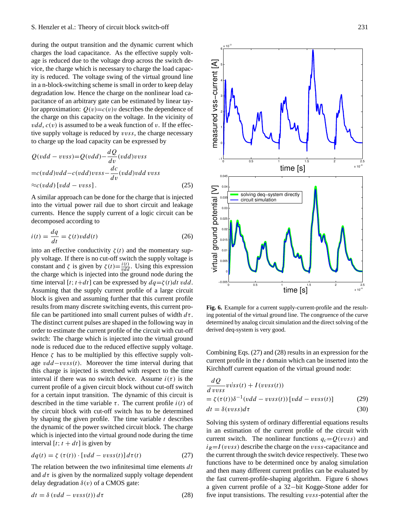during the output transition and the dynamic current which charges the load capacitance. As the effective supply voltage is reduced due to the voltage drop across the switch device, the charge which is necessary to charge the load capacity is reduced. The voltage swing of the virtual ground line in a n-block-switching scheme is small in order to keep delay degradation low. Hence the charge on the nonlinear load capacitance of an arbitrary gate can be estimated by linear taylor approximation:  $Q(v)=c(v)v$  describes the dependence of the charge on this capacity on the voltage. In the vicinity of  $vdd, c(v)$  is assumed to be a weak function of v. If the effective supply voltage is reduced by vvss, the charge necessary to charge up the load capacity can be expressed by

$$
Q(vdd - vvss) = Q(vdd) - \frac{dQ}{dv}(vdd) vvs
$$
  
=c(vdd)vdd - c(vdd) vvss - \frac{dc}{dv}(vdd)vdd vvs  

$$
\approx c(vdd)[vdd - vvss].
$$
 (25)

A similar approach can be done for the charge that is injected into the virtual power rail due to short circuit and leakage currents. Hence the supply current of a logic circuit can be decomposed according to

$$
i(t) = \frac{dq}{dt} = \zeta(t) \nu dd(t)
$$
 (26)

into an effective conductivity  $\zeta(t)$  and the momentary supply voltage. If there is no cut-off switch the supply voltage is constant and  $\zeta$  is given by  $\zeta(t) = \frac{i(t)}{vdd}$ . Using this expression the charge which is injected into the ground node during the time interval [t; t+dt] can be expressed by  $dq = \zeta(t)dt vdd$ . Assuming that the supply current profile of a large circuit block is given and assuming further that this current profile results from many discrete switching events, this current profile can be partitioned into small current pulses of width  $d\tau$ . The distinct current pulses are shaped in the following way in order to estimate the current profile of the circuit with cut-off switch: The charge which is injected into the virtual ground node is reduced due to the reduced effective supply voltage. Hence  $\zeta$  has to be multiplied by this effective supply voltage  $vdd-vvss(t)$ . Moreover the time interval during that this charge is injected is stretched with respect to the time interval if there was no switch device. Assume  $i(\tau)$  is the current profile of a given circuit block without cut-off switch for a certain input transition. The dynamic of this circuit is described in the time variable  $\tau$ . The current profile  $i(t)$  of the circuit block with cut-off switch has to be determined by shaping the given profile. The time variable  $t$  describes the dynamic of the power switched circuit block. The charge which is injected into the virtual ground node during the time interval [t;  $t + dt$ ] is given by

$$
dq(t) = \zeta(\tau(t)) \cdot [vdd - vvs(s)]d\tau(t)
$$
\n(27)

The relation between the two infinitesimal time elements  $dt$ and  $d\tau$  is given by the normalized supply voltage dependent delay degradation  $\delta(v)$  of a CMOS gate:

$$
dt = \delta (vdd - vvs(s)) d\tau \tag{28}
$$



is current pro-<br>Fig. 6. Example for a current supply-current-profile and the resulting potential of the virtual ground line. The congruence of the curve determined by analog circuit simulation and the direct solving of the derived deq-system is very good.

Combining Eqs. (27) and (28) results in an expression for the current profile in the t domain which can be inserted into the Kirchhoff current equation of the virtual ground node:

$$
\frac{dQ}{d\,vvs} \,v \, \dot{v} \, \dot{s} \, (t) + I(v \, v \, \dot{s} \, (t))
$$
\n
$$
= \zeta(\tau(t)) \delta^{-1} (v \, d \, - \, v \, v \, \dot{s} \, (t)) \, [v \, d \, - \, v \, v \, \dot{s} \, (t)] \tag{29}
$$
\n
$$
dt = \delta(v \, v \, \dot{s} \, s) \, d\tau \tag{30}
$$

Solving this system of ordinary differential equations results in an estimation of the current profile of the circuit with current switch. The nonlinear functions  $q_c = Q(vvss)$  and  $i<sub>R</sub>=I(vvss)$  describe the charge on the vvss-capacitance and the current through the switch device respectively. These two functions have to be determined once by analog simulation and then many different current profiles can be evaluated by the fast current-profile-shaping algorithm. Figure 6 shows a given current profile of a 32−bit Kogge-Stone adder for five input transistions. The resulting vvss-potential after the